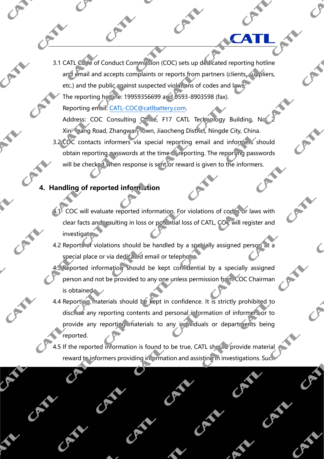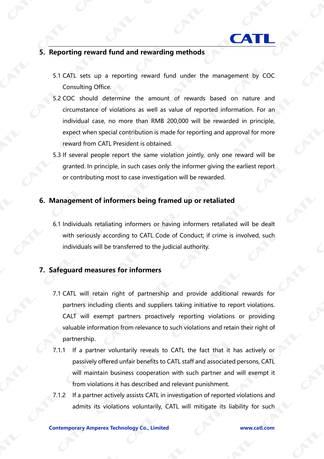

## **5. Reporting reward fund and rewarding methods**

- 5.1 CATL sets up a reporting reward fund under the management by COC Consulting Office.
- 5.2 COC should determine the amount of rewards based on nature and circumstance of violations as well as value of reported information. For an individual case, no more than RMB 200,000 will be rewarded in principle, expect when special contribution is made for reporting and approval for more reward from CATL President is obtained.
- 5.3 If several people report the same violation jointly, only one reward will be granted. In principle, in such cases only the informer giving the earliest report or contributing most to case investigation will be rewarded.

## **6. Management of informers being framed up or retaliated**

6.1 Individuals retaliating informers or having informers retaliated will be dealt with seriously according to CATL Code of Conduct; if crime is involved, such individuals will be transferred to the judicial authority.

## **7. Safeguard measures for informers**

- 7.1 CATL will retain right of partnership and provide additional rewards for partners including clients and suppliers taking initiative to report violations. CALT will exempt partners proactively reporting violations or providing valuable information from relevance to such violations and retain their right of partnership.
- 7.1.1 If a partner voluntarily reveals to CATL the fact that it has actively or passively offered unfair benefits to CATL staff and associated persons, CATL will maintain business cooperation with such partner and will exempt it from violations it has described and relevant punishment.
- 7.1.2 If a partner actively assists CATL in investigation of reported violations and admits its violations voluntarily, CATL will mitigate its liability for such